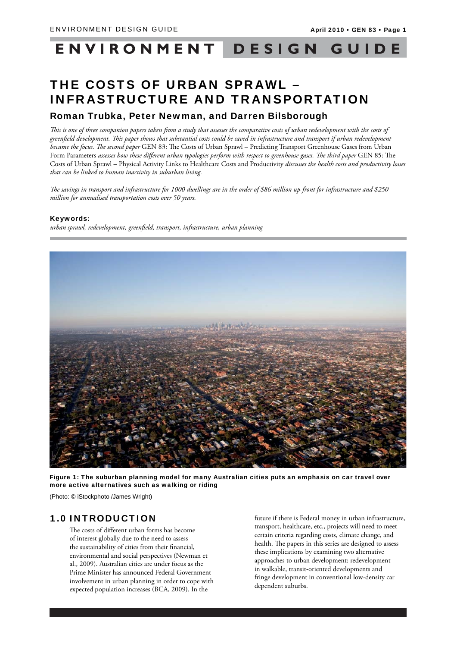## ENVIRONMENT DESIGN GUIDE

# THE COSTS OF URBAN SPRAWL – INFRASTRUCTURE AND TRANSPORTATION

# Roman Trubka, Peter Newman, and Darren Bilsborough

This is one of three companion papers taken from a study that assesses the comparative costs of urban redevelopment with the costs of greenfield development. This paper shows that substantial costs could be saved in infrastructure and transport if urban redevelopment became the focus. The second paper GEN 83: The Costs of Urban Sprawl - Predicting Transport Greenhouse Gases from Urban Form Parameters assesses how these different urban typologies perform with respect to greenhouse gases. The third paper GEN 85: The Costs of Urban Sprawl – Physical Activity Links to Healthcare Costs and Productivity *discusses the health costs and productivity losses that can be linked to human inactivity in suburban living.*

The savings in transport and infrastructure for 1000 dwellings are in the order of \$86 million up-front for infrastructure and \$250 *million for annualised transportation costs over 50 years.* 

### Keywords:

*urban sprawl, redevelopment, greenfi eld, transport, infrastructure, urban planning*



Figure 1: The suburban planning model for many Australian cities puts an emphasis on car travel over more active alternatives such as walking or riding

(Photo: © iStockphoto /James Wright)

# 1.0 INTRODUCTION

The costs of different urban forms has become of interest globally due to the need to assess the sustainability of cities from their financial, environmental and social perspectives (Newman et al., 2009). Australian cities are under focus as the Prime Minister has announced Federal Government involvement in urban planning in order to cope with expected population increases (BCA, 2009). In the

future if there is Federal money in urban infrastructure, transport, healthcare, etc., projects will need to meet certain criteria regarding costs, climate change, and health. The papers in this series are designed to assess these implications by examining two alternative approaches to urban development: redevelopment in walkable, transit-oriented developments and fringe development in conventional low-density car dependent suburbs.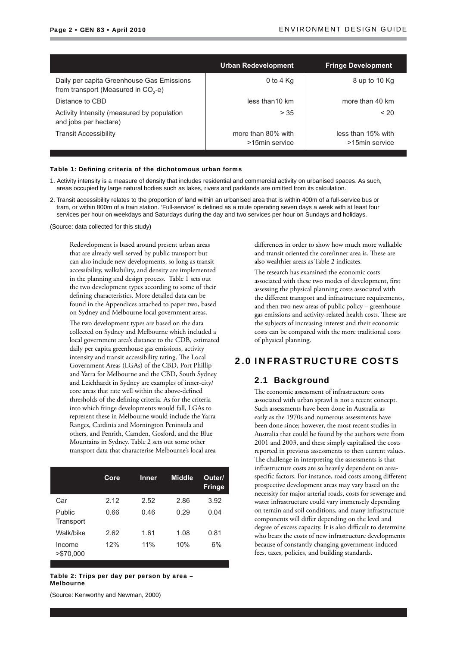|                                                                                              | <b>Urban Redevelopment</b>           | <b>Fringe Development</b>            |
|----------------------------------------------------------------------------------------------|--------------------------------------|--------------------------------------|
| Daily per capita Greenhouse Gas Emissions<br>from transport (Measured in CO <sub>2</sub> -e) | 0 to 4 $Kq$                          | 8 up to 10 Kg                        |
| Distance to CBD                                                                              | less than 10 km                      | more than 40 km                      |
| Activity Intensity (measured by population<br>and jobs per hectare)                          | > 35                                 | < 20                                 |
| <b>Transit Accessibility</b>                                                                 | more than 80% with<br>>15min service | less than 15% with<br>>15min service |

#### Table 1: Defining criteria of the dichotomous urban forms

- 1. Activity intensity is a measure of density that includes residential and commercial activity on urbanised spaces. As such, areas occupied by large natural bodies such as lakes, rivers and parklands are omitted from its calculation.
- 2. Transit accessibility relates to the proportion of land within an urbanised area that is within 400m of a full-service bus or tram, or within 800m of a train station. 'Full-service' is defined as a route operating seven days a week with at least four services per hour on weekdays and Saturdays during the day and two services per hour on Sundays and holidays.

(Source: data collected for this study)

Redevelopment is based around present urban areas that are already well served by public transport but can also include new developments, so long as transit accessibility, walkability, and density are implemented in the planning and design process. Table 1 sets out the two development types according to some of their defining characteristics. More detailed data can be found in the Appendices attached to paper two, based on Sydney and Melbourne local government areas.

The two development types are based on the data collected on Sydney and Melbourne which included a local government area's distance to the CDB, estimated daily per capita greenhouse gas emissions, activity intensity and transit accessibility rating. The Local Government Areas (LGAs) of the CBD, Port Phillip and Yarra for Melbourne and the CBD, South Sydney and Leichhardt in Sydney are examples of inner-city/ core areas that rate well within the above-defined thresholds of the defining criteria. As for the criteria into which fringe developments would fall, LGAs to represent these in Melbourne would include the Yarra Ranges, Cardinia and Mornington Peninsula and others, and Penrith, Camden, Gosford, and the Blue Mountains in Sydney. Table 2 sets out some other transport data that characterise Melbourne's local area

|                     | Core | Inner | <b>Middle</b> | Outer/<br><b>Fringe</b> |
|---------------------|------|-------|---------------|-------------------------|
| Car                 | 2.12 | 2.52  | 2.86          | 3.92                    |
| Public<br>Transport | 0.66 | 0.46  | 0.29          | 0.04                    |
| Walk/bike           | 2.62 | 1.61  | 1.08          | 0.81                    |
| Income<br>>\$70.000 | 12%  | 11%   | 10%           | 6%                      |

Table 2: Trips per day per person by area – Melbourne

(Source: Kenworthy and Newman, 2000)

differences in order to show how much more walkable and transit oriented the core/inner area is. These are also wealthier areas as Table 2 indicates.

The research has examined the economic costs associated with these two modes of development, first assessing the physical planning costs associated with the different transport and infrastructure requirements, and then two new areas of public policy – greenhouse gas emissions and activity-related health costs. These are the subjects of increasing interest and their economic costs can be compared with the more traditional costs of physical planning.

# 2.0 INFRASTRUCTURE COSTS

### 2.1 Background

The economic assessment of infrastructure costs associated with urban sprawl is not a recent concept. Such assessments have been done in Australia as early as the 1970s and numerous assessments have been done since; however, the most recent studies in Australia that could be found by the authors were from 2001 and 2003, and these simply capitalised the costs reported in previous assessments to then current values. The challenge in interpreting the assessments is that infrastructure costs are so heavily dependent on areaspecific factors. For instance, road costs among different prospective development areas may vary based on the necessity for major arterial roads, costs for sewerage and water infrastructure could vary immensely depending on terrain and soil conditions, and many infrastructure components will differ depending on the level and degree of excess capacity. It is also difficult to determine who bears the costs of new infrastructure developments because of constantly changing government-induced fees, taxes, policies, and building standards.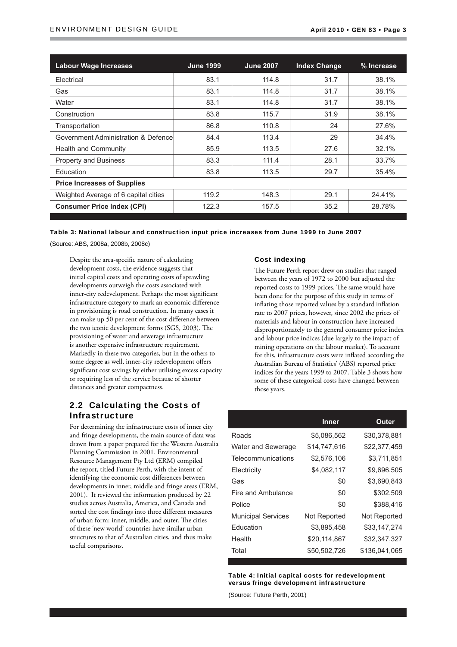| <b>Labour Wage Increases</b>         | <b>June 1999</b> | <b>June 2007</b> | <b>Index Change</b> | % Increase |
|--------------------------------------|------------------|------------------|---------------------|------------|
| Electrical                           | 83.1             | 114.8            | 31.7                | 38.1%      |
| Gas                                  | 83.1             | 114.8            | 31.7                | 38.1%      |
| Water                                | 83.1             | 114.8            | 31.7                | 38.1%      |
| Construction                         | 83.8             | 115.7            | 31.9                | 38.1%      |
| Transportation                       | 86.8             | 110.8            | 24                  | 27.6%      |
| Government Administration & Defence  | 84.4             | 113.4            | 29                  | 34.4%      |
| <b>Health and Community</b>          | 85.9             | 113.5            | 27.6                | 32.1%      |
| <b>Property and Business</b>         | 83.3             | 111.4            | 28.1                | 33.7%      |
| Education                            | 83.8             | 113.5            | 29.7                | 35.4%      |
| <b>Price Increases of Supplies</b>   |                  |                  |                     |            |
| Weighted Average of 6 capital cities | 119.2            | 148.3            | 29.1                | 24.41%     |
| <b>Consumer Price Index (CPI)</b>    | 122.3            | 157.5            | 35.2                | 28.78%     |

Table 3: National labour and construction input price increases from June 1999 to June 2007

(Source: ABS, 2008a, 2008b, 2008c)

Despite the area-specific nature of calculating development costs, the evidence suggests that initial capital costs and operating costs of sprawling developments outweigh the costs associated with inner-city redevelopment. Perhaps the most significant infrastructure category to mark an economic difference in provisioning is road construction. In many cases it can make up 50 per cent of the cost difference between the two iconic development forms (SGS, 2003). The provisioning of water and sewerage infrastructure is another expensive infrastructure requirement. Markedly in these two categories, but in the others to some degree as well, inner-city redevelopment offers significant cost savings by either utilising excess capacity or requiring less of the service because of shorter distances and greater compactness.

# 2.2 Calculating the Costs of Infrastructure

For determining the infrastructure costs of inner city and fringe developments, the main source of data was drawn from a paper prepared for the Western Australia Planning Commission in 2001. Environmental Resource Management Pty Ltd (ERM) compiled the report, titled Future Perth, with the intent of identifying the economic cost differences between developments in inner, middle and fringe areas (ERM, 2001). It reviewed the information produced by 22 studies across Australia, America, and Canada and sorted the cost findings into three different measures of urban form: inner, middle, and outer. The cities of these 'new world' countries have similar urban structures to that of Australian cities, and thus make useful comparisons.

### Cost indexing

The Future Perth report drew on studies that ranged between the years of 1972 to 2000 but adjusted the reported costs to 1999 prices. The same would have been done for the purpose of this study in terms of inflating those reported values by a standard inflation rate to 2007 prices, however, since 2002 the prices of materials and labour in construction have increased disproportionately to the general consumer price index and labour price indices (due largely to the impact of mining operations on the labour market). To account for this, infrastructure costs were inflated according the Australian Bureau of Statistics' (ABS) reported price indices for the years 1999 to 2007. Table 3 shows how some of these categorical costs have changed between those years.

|                           | <b>Inner</b> | Outer         |
|---------------------------|--------------|---------------|
| Roads                     | \$5,086,562  | \$30,378,881  |
| <b>Water and Sewerage</b> | \$14,747,616 | \$22,377,459  |
| Telecommunications        | \$2,576,106  | \$3,711,851   |
| Electricity               | \$4,082,117  | \$9,696,505   |
| Gas                       | \$0          | \$3,690,843   |
| Fire and Ambulance        | \$0          | \$302,509     |
| Police                    | \$0          | \$388,416     |
| <b>Municipal Services</b> | Not Reported | Not Reported  |
| Education                 | \$3.895.458  | \$33,147,274  |
| Health                    | \$20,114,867 | \$32,347,327  |
| Total                     | \$50,502,726 | \$136,041,065 |

Table 4: Initial capital costs for redevelopment versus fringe development infrastructure

(Source: Future Perth, 2001)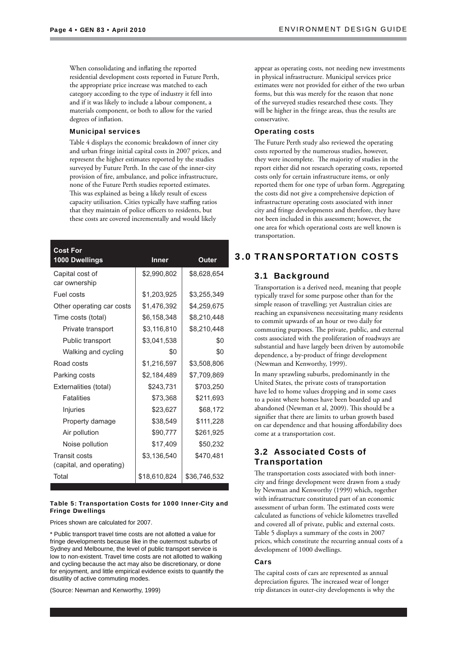When consolidating and inflating the reported residential development costs reported in Future Perth, the appropriate price increase was matched to each category according to the type of industry it fell into and if it was likely to include a labour component, a materials component, or both to allow for the varied degrees of inflation.

#### Municipal services

Table 4 displays the economic breakdown of inner city and urban fringe initial capital costs in 2007 prices, and represent the higher estimates reported by the studies surveyed by Future Perth. In the case of the inner-city provision of fire, ambulance, and police infrastructure, none of the Future Perth studies reported estimates. This was explained as being a likely result of excess capacity utilisation. Cities typically have staffing ratios that they maintain of police officers to residents, but these costs are covered incrementally and would likely

| <b>Cost For</b><br><b>1000 Dwellings</b> | Inner        | Outer        |
|------------------------------------------|--------------|--------------|
| Capital cost of                          | \$2,990,802  | \$8,628,654  |
| car ownership                            |              |              |
| Fuel costs                               | \$1,203,925  | \$3,255,349  |
| Other operating car costs                | \$1,476,392  | \$4,259,675  |
| Time costs (total)                       | \$6,158,348  | \$8,210,448  |
| Private transport                        | \$3,116,810  | \$8,210,448  |
| Public transport                         | \$3,041,538  | \$0          |
| Walking and cycling                      | \$0          | \$0          |
| Road costs                               | \$1,216,597  | \$3,508,806  |
| Parking costs                            | \$2,184,489  | \$7,709,869  |
| Externalities (total)                    | \$243,731    | \$703,250    |
| <b>Fatalities</b>                        | \$73,368     | \$211,693    |
| Injuries                                 | \$23,627     | \$68,172     |
| Property damage                          | \$38,549     | \$111,228    |
| Air pollution                            | \$90,777     | \$261,925    |
| Noise pollution                          | \$17,409     | \$50,232     |
| <b>Transit costs</b>                     | \$3,136,540  | \$470,481    |
| (capital, and operating)                 |              |              |
| Total                                    | \$18,610,824 | \$36,746,532 |

#### Table 5: Transportation Costs for 1000 Inner-City and Fringe Dwellings

Prices shown are calculated for 2007.

\* Public transport travel time costs are not allotted a value for fringe developments because like in the outermost suburbs of Sydney and Melbourne, the level of public transport service is low to non-existent. Travel time costs are not allotted to walking and cycling because the act may also be discretionary, or done for enjoyment, and little empirical evidence exists to quantify the disutility of active commuting modes.

(Source: Newman and Kenworthy, 1999)

appear as operating costs, not needing new investments in physical infrastructure. Municipal services price estimates were not provided for either of the two urban forms, but this was merely for the reason that none of the surveyed studies researched these costs. They will be higher in the fringe areas, thus the results are conservative.

#### Operating costs

The Future Perth study also reviewed the operating costs reported by the numerous studies, however, they were incomplete. The majority of studies in the report either did not research operating costs, reported costs only for certain infrastructure items, or only reported them for one type of urban form. Aggregating the costs did not give a comprehensive depiction of infrastructure operating costs associated with inner city and fringe developments and therefore, they have not been included in this assessment; however, the one area for which operational costs are well known is transportation.

# 3.0 TRANSPORTATION COSTS

### 3.1 Background

Transportation is a derived need, meaning that people typically travel for some purpose other than for the simple reason of travelling; yet Australian cities are reaching an expansiveness necessitating many residents to commit upwards of an hour or two daily for commuting purposes. The private, public, and external costs associated with the proliferation of roadways are substantial and have largely been driven by automobile dependence, a by-product of fringe development (Newman and Kenworthy, 1999).

In many sprawling suburbs, predominantly in the United States, the private costs of transportation have led to home values dropping and in some cases to a point where homes have been boarded up and abandoned (Newman et al, 2009). This should be a signifier that there are limits to urban growth based on car dependence and that housing affordability does come at a transportation cost.

# 3.2 Associated Costs of Transportation

The transportation costs associated with both innercity and fringe development were drawn from a study by Newman and Kenworthy (1999) which, together with infrastructure constituted part of an economic assessment of urban form. The estimated costs were calculated as functions of vehicle kilometres travelled and covered all of private, public and external costs. Table 5 displays a summary of the costs in 2007 prices, which constitute the recurring annual costs of a development of 1000 dwellings.

#### Cars

The capital costs of cars are represented as annual depreciation figures. The increased wear of longer trip distances in outer-city developments is why the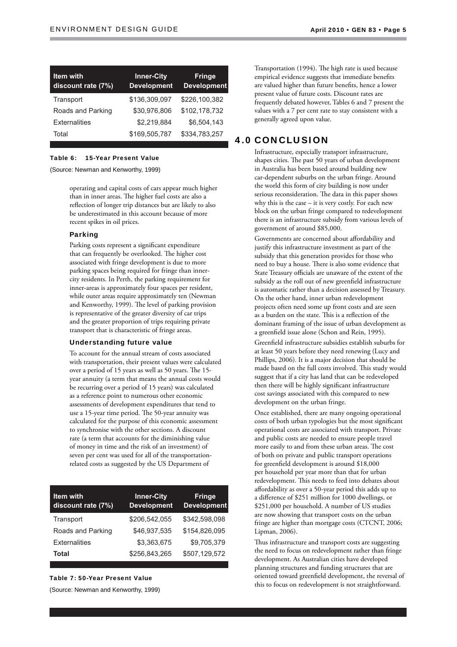| <b>Item with</b><br>discount rate (7%) | <b>Inner-City</b><br><b>Development</b> | <b>Fringe</b><br><b>Development</b> |
|----------------------------------------|-----------------------------------------|-------------------------------------|
| Transport                              | \$136,309,097                           | \$226,100,382                       |
| Roads and Parking                      | \$30.976.806                            | \$102,178,732                       |
| <b>Externalities</b>                   | \$2,219,884                             | \$6,504,143                         |
| Total                                  | \$169,505,787                           | \$334,783,257                       |

#### Table 6: 15-Year Present Value

(Source: Newman and Kenworthy, 1999)

operating and capital costs of cars appear much higher than in inner areas. The higher fuel costs are also a reflection of longer trip distances but are likely to also be underestimated in this account because of more recent spikes in oil prices.

#### Parking

Parking costs represent a significant expenditure that can frequently be overlooked. The higher cost associated with fringe development is due to more parking spaces being required for fringe than innercity residents. In Perth, the parking requirement for inner-areas is approximately four spaces per resident, while outer areas require approximately ten (Newman and Kenworthy, 1999). The level of parking provision is representative of the greater diversity of car trips and the greater proportion of trips requiring private transport that is characteristic of fringe areas.

### Understanding future value

To account for the annual stream of costs associated with transportation, their present values were calculated over a period of 15 years as well as 50 years. The 15year annuity (a term that means the annual costs would be recurring over a period of 15 years) was calculated as a reference point to numerous other economic assessments of development expenditures that tend to use a 15-year time period. The 50-year annuity was calculated for the purpose of this economic assessment to synchronise with the other sections. A discount rate (a term that accounts for the diminishing value of money in time and the risk of an investment) of seven per cent was used for all of the transportationrelated costs as suggested by the US Department of

| Item with<br>discount rate (7%) | <b>Inner-City</b><br><b>Development</b> | <b>Fringe</b><br><b>Development</b> |
|---------------------------------|-----------------------------------------|-------------------------------------|
| Transport                       | \$206.542.055                           | \$342.598.098                       |
| Roads and Parking               | \$46.937.535                            | \$154,826,095                       |
| <b>Externalities</b>            | \$3.363.675                             | \$9.705.379                         |
| Total                           | \$256,843,265                           | \$507,129,572                       |

### Table 7: 50-Year Present Value

(Source: Newman and Kenworthy, 1999)

Transportation (1994). The high rate is used because empirical evidence suggests that immediate benefits are valued higher than future benefits, hence a lower present value of future costs. Discount rates are frequently debated however, Tables 6 and 7 present the values with a 7 per cent rate to stay consistent with a generally agreed upon value.

# 4.0 CONCLUSION

Infrastructure, especially transport infrastructure, shapes cities. The past 50 years of urban development in Australia has been based around building new car-dependent suburbs on the urban fringe. Around the world this form of city building is now under serious reconsideration. The data in this paper shows why this is the case – it is very costly. For each new block on the urban fringe compared to redevelopment there is an infrastructure subsidy from various levels of government of around \$85,000.

Governments are concerned about affordability and justify this infrastructure investment as part of the subsidy that this generation provides for those who need to buy a house. There is also some evidence that State Treasury officials are unaware of the extent of the subsidy as the roll out of new greenfield infrastructure is automatic rather than a decision assessed by Treasury. On the other hand, inner urban redevelopment projects often need some up front costs and are seen as a burden on the state. This is a reflection of the dominant framing of the issue of urban development as a greenfield issue alone (Schon and Rein, 1995).

Greenfield infrastructure subsidies establish suburbs for at least 50 years before they need renewing (Lucy and Phillips, 2006). It is a major decision that should be made based on the full costs involved. This study would suggest that if a city has land that can be redeveloped then there will be highly significant infrastructure cost savings associated with this compared to new development on the urban fringe.

Once established, there are many ongoing operational costs of both urban typologies but the most significant operational costs are associated with transport. Private and public costs are needed to ensure people travel more easily to and from these urban areas. The cost of both on private and public transport operations for greenfield development is around \$18,000 per household per year more than that for urban redevelopment. This needs to feed into debates about affordability as over a 50-year period this adds up to a difference of \$251 million for 1000 dwellings, or \$251,000 per household. A number of US studies are now showing that transport costs on the urban fringe are higher than mortgage costs (CTCNT, 2006; Lipman, 2006).

Thus infrastructure and transport costs are suggesting the need to focus on redevelopment rather than fringe development. As Australian cities have developed planning structures and funding structures that are oriented toward greenfield development, the reversal of this to focus on redevelopment is not straightforward.